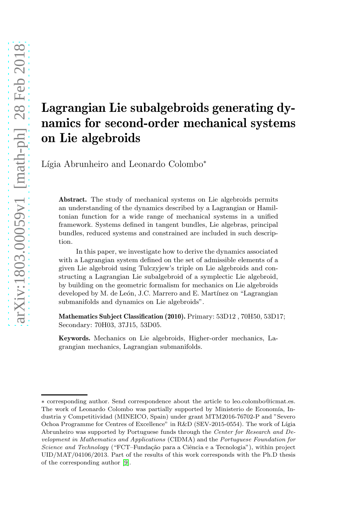# Lagrangian Lie subalgebroids generating dynamics for second-order mechanical systems on Lie algebroids

Lígia Abrunheiro and Leonardo Colombo<sup>\*</sup>

Abstract. The study of mechanical systems on Lie algebroids permits an understanding of the dynamics described by a Lagrangian or Hamiltonian function for a wide range of mechanical systems in a unified framework. Systems defined in tangent bundles, Lie algebras, principal bundles, reduced systems and constrained are included in such description.

In this paper, we investigate how to derive the dynamics associated with a Lagrangian system defined on the set of admissible elements of a given Lie algebroid using Tulczyjew's triple on Lie algebroids and constructing a Lagrangian Lie subalgebroid of a symplectic Lie algebroid, by building on the geometric formalism for mechanics on Lie algebroids developed by M. de León, J.C. Marrero and E. Martínez on "Lagrangian" submanifolds and dynamics on Lie algebroids".

Mathematics Subject Classification (2010). Primary: 53D12 , 70H50, 53D17; Secondary: 70H03, 37J15, 53D05.

Keywords. Mechanics on Lie algebroids, Higher-order mechanics, Lagrangian mechanics, Lagrangian submanifolds.

<sup>∗</sup> corresponding author. Send correspondence about the article to leo.colombo@icmat.es. The work of Leonardo Colombo was partially supported by Ministerio de Economía, Industria y Competitividad (MINEICO, Spain) under grant MTM2016-76702-P and "Severo Ochoa Programme for Centres of Excellence" in R&D (SEV-2015-0554). The work of Lígia Abrunheiro was supported by Portuguese funds through the Center for Research and Development in Mathematics and Applications (CIDMA) and the Portuguese Foundation for Science and Technology ("FCT–Fundação para a Ciência e a Tecnologia"), within project UID/MAT/04106/2013. Part of the results of this work corresponds with the Ph.D thesis of the corresponding author [\[9\]](#page-17-0).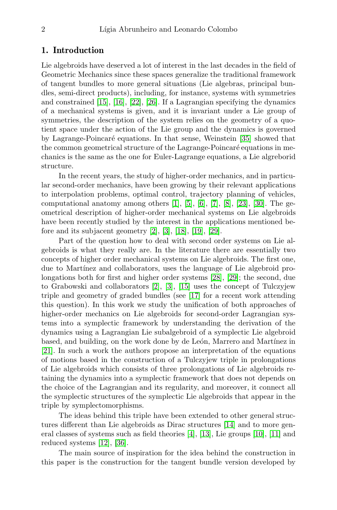# 1. Introduction

Lie algebroids have deserved a lot of interest in the last decades in the field of Geometric Mechanics since these spaces generalize the traditional framework of tangent bundles to more general situations (Lie algebras, principal bundles, semi-direct products), including, for instance, systems with symmetries and constrained [\[15\]](#page-18-0), [\[16\]](#page-18-1), [\[22\]](#page-18-2), [\[26\]](#page-18-3). If a Lagrangian specifying the dynamics of a mechanical systems is given, and it is invariant under a Lie group of symmetries, the description of the system relies on the geometry of a quotient space under the action of the Lie group and the dynamics is governed by Lagrange-Poincaré equations. In that sense, Weinstein [\[35\]](#page-19-0) showed that the common geometrical structure of the Lagrange-Poincaré equations in mechanics is the same as the one for Euler-Lagrange equations, a Lie algreborid structure.

In the recent years, the study of higher-order mechanics, and in particular second-order mechanics, have been growing by their relevant applications to interpolation problems, optimal control, trajectory planning of vehicles, computational anatomy among others [\[1\]](#page-17-1), [\[5\]](#page-17-2), [\[6\]](#page-17-3), [\[7\]](#page-17-4), [\[8\]](#page-17-5), [\[23\]](#page-18-4), [\[30\]](#page-18-5). The geometrical description of higher-order mechanical systems on Lie algebroids have been recently studied by the interest in the applications mentioned before and its subjacent geometry  $[2]$ ,  $[3]$ ,  $[18]$ ,  $[19]$ ,  $[29]$ .

Part of the question how to deal with second order systems on Lie algebroids is what they really are. In the literature there are essentially two concepts of higher order mechanical systems on Lie algebroids. The first one, due to Martínez and collaborators, uses the language of Lie algebroid prolongations both for first and higher order systems [\[28\]](#page-18-9), [\[29\]](#page-18-8); the second, due to Grabowski and collaborators [\[2\]](#page-17-6), [\[3\]](#page-17-7), [\[15\]](#page-18-0) uses the concept of Tulczyjew triple and geometry of graded bundles (see [\[17\]](#page-18-10) for a recent work attending this question). In this work we study the unification of both approaches of higher-order mechanics on Lie algebroids for second-order Lagrangian systems into a symplectic framework by understanding the derivation of the dynamics using a Lagrangian Lie subalgebroid of a symplectic Lie algebroid based, and building, on the work done by de León, Marrero and Martínez in [\[21\]](#page-18-11). In such a work the authors propose an interpretation of the equations of motions based in the construction of a Tulczyjew triple in prolongations of Lie algebroids which consists of three prolongations of Lie algebroids retaining the dynamics into a symplectic framework that does not depends on the choice of the Lagrangian and its regularity, and moreover, it connect all the symplectic structures of the symplectic Lie algebroids that appear in the triple by symplectomorphisms.

The ideas behind this triple have been extended to other general structures different than Lie algebroids as Dirac structures [\[14\]](#page-18-12) and to more general classes of systems such as field theories [\[4\]](#page-17-8), [\[13\]](#page-18-13), Lie groups [\[10\]](#page-17-9), [\[11\]](#page-17-10) and reduced systems [\[12\]](#page-18-14), [\[36\]](#page-19-1).

The main source of inspiration for the idea behind the construction in this paper is the construction for the tangent bundle version developed by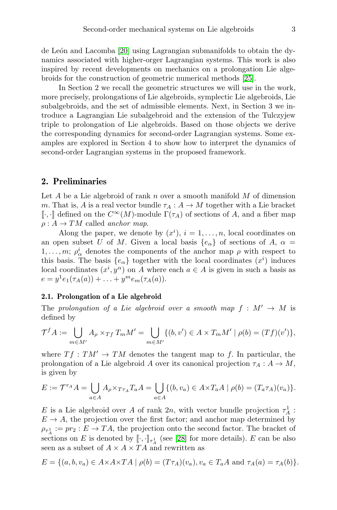de León and Lacomba  $[20]$  using Lagrangian submanifolds to obtain the dynamics associated with higher-orger Lagrangian systems. This work is also inspired by recent developments on mechanics on a prolongation Lie algebroids for the construction of geometric numerical methods [\[25\]](#page-18-16).

In Section 2 we recall the geometric structures we will use in the work, more precisely, prolongations of Lie algebroids, symplectic Lie algebroids, Lie subalgebroids, and the set of admissible elements. Next, in Section 3 we introduce a Lagrangian Lie subalgebroid and the extension of the Tulczyjew triple to prolongation of Lie algebroids. Based on those objects we derive the corresponding dynamics for second-order Lagrangian systems. Some examples are explored in Section 4 to show how to interpret the dynamics of second-order Lagrangian systems in the proposed framework.

# <span id="page-2-0"></span>2. Preliminaries

Let A be a Lie algebroid of rank n over a smooth manifold  $M$  of dimension m. That is, A is a real vector bundle  $\tau_A : A \to M$  together with a Lie bracket [ $[\cdot, \cdot]$ ] defined on the  $C^{\infty}(M)$ -module  $\Gamma(\tau_A)$  of sections of A, and a fiber map  $\rho: A \to TM$  called anchor map.

Along the paper, we denote by  $(x^i)$ ,  $i = 1, \ldots, n$ , local coordinates on an open subset U of M. Given a local basis  ${e_{\alpha}}$  of sections of A,  $\alpha$  =  $1, \ldots, m; \rho^i_\alpha$  denotes the components of the anchor map  $\rho$  with respect to this basis. The basis  ${e_{\alpha}}$  together with the local coordinates  $(x^{i})$  induces local coordinates  $(x^i, y^{\alpha})$  on A where each  $a \in A$  is given in such a basis as  $e = y^1 e_1(\tau_A(a)) + \ldots + y^m e_m(\tau_A(a)).$ 

## 2.1. Prolongation of a Lie algebroid

The prolongation of a Lie algebroid over a smooth map  $f : M' \to M$  is defined by

$$
\mathcal{T}^f A := \bigcup_{m \in M'} A_{\rho} \times_{Tf} T_m M' = \bigcup_{m \in M'} \{ (b, v') \in A \times T_m M' \mid \rho(b) = (Tf)(v') \},
$$

where  $Tf : TM' \rightarrow TM$  denotes the tangent map to f. In particular, the prolongation of a Lie algebroid A over its canonical projection  $\tau_A : A \to M$ , is given by

$$
E := \mathcal{T}^{\tau_A} A = \bigcup_{a \in A} A_{\rho} \times_{T \tau_A} T_a A = \bigcup_{a \in A} \{ (b, v_a) \in A \times T_a A \mid \rho(b) = (T_a \tau_A)(v_a) \}.
$$

E is a Lie algebroid over A of rank  $2n$ , with vector bundle projection  $\tau_A^1$ :  $E \to A$ , the projection over the first factor; and anchor map determined by  $\rho_{\tau_A^1} := pr_2 : E \to TA$ , the projection onto the second factor. The bracket of sections on E is denoted by  $[\cdot, \cdot]_{\tau_A^1}$  (see [\[28\]](#page-18-9) for more details). E can be also seen as a subset of  $A \times A \times TA$  and rewritten as

$$
E = \{(a, b, v_a) \in A \times A \times TA \mid \rho(b) = (T\tau_A)(v_a), v_a \in T_aA \text{ and } \tau_A(a) = \tau_A(b)\}.
$$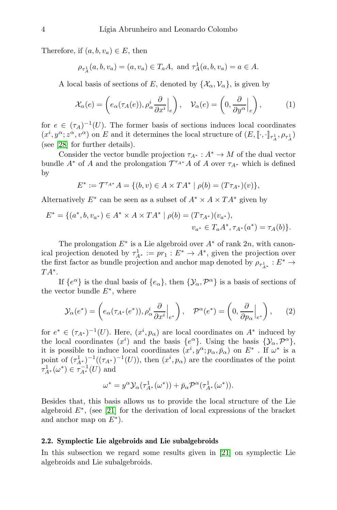Therefore, if  $(a, b, v_a) \in E$ , then

$$
\rho_{\tau_A^1}(a, b, v_a) = (a, v_a) \in T_a A
$$
, and  $\tau_A^1(a, b, v_a) = a \in A$ .

A local basis of sections of E, denoted by  $\{\mathcal{X}_{\alpha}, \mathcal{V}_{\alpha}\}\)$ , is given by

<span id="page-3-0"></span>
$$
\mathcal{X}_{\alpha}(e) = \left( e_{\alpha}(\tau_A(e)), \rho_{\alpha}^i \frac{\partial}{\partial x^i} \Big|_e \right), \quad \mathcal{V}_{\alpha}(e) = \left( 0, \frac{\partial}{\partial y^{\alpha}} \Big|_e \right), \tag{1}
$$

for  $e \in (\tau_A)^{-1}(U)$ . The former basis of sections induces local coordinates  $(x^i, y^\alpha; z^\alpha, v^\alpha)$  on E and it determines the local structure of  $(E, [\![\cdot,\cdot]\!]_{\tau_A^1}, \rho_{\tau_A^1})$ (see [\[28\]](#page-18-9) for further details).

Consider the vector bundle projection  $\tau_{A^*}: A^* \to M$  of the dual vector bundle  $A^*$  of A and the prolongation  $\mathcal{T}^{\tau_{A^*}}A$  of A over  $\tau_{A^*}$  which is defined by

$$
E^* := \mathcal{T}^{\tau_{A^*}} A = \{ (b, v) \in A \times T A^* \mid \rho(b) = (T \tau_{A^*})(v) \},
$$

Alternatively  $E^*$  can be seen as a subset of  $A^* \times A \times TA^*$  given by

$$
E^* = \{ (a^*, b, v_{a^*}) \in A^* \times A \times TA^* \mid \rho(b) = (T\tau_{A^*})(v_{a^*}),
$$
  

$$
v_{a^*} \in T_a A^*, \tau_{A^*}(a^*) = \tau_A(b) \}.
$$

The prolongation  $E^*$  is a Lie algebroid over  $A^*$  of rank  $2n$ , with canonical projection denoted by  $\tau_{A^*}^1 := pr_1 : E^* \to A^*$ , given the projection over the first factor as bundle projection and anchor map denoted by  $\rho_{\tau^1_{A^*}}:E^*\to$  $TA^*$ .

If  $\{e^{\alpha}\}\$ is the dual basis of  $\{e_{\alpha}\}\$ , then  $\{\mathcal{Y}_{\alpha}, \mathcal{P}^{\alpha}\}\$ is a basis of sections of the vector bundle  $E^*$ , where

<span id="page-3-1"></span>
$$
\mathcal{Y}_{\alpha}(e^*) = \left(e_{\alpha}(\tau_{A^*}(e^*)), \rho_{\alpha}^i \frac{\partial}{\partial x^i}\Big|_{e^*}\right), \quad \mathcal{P}^{\alpha}(e^*) = \left(0, \frac{\partial}{\partial p_{\alpha}}\Big|_{e^*}\right), \tag{2}
$$

for  $e^* \in (\tau_{A^*})^{-1}(U)$ . Here,  $(x^i, p_\alpha)$  are local coordinates on  $A^*$  induced by the local coordinates  $(x^{i})$  and the basis  $\{e^{\alpha}\}\$ . Using the basis  $\{\mathcal{Y}_{\alpha}, \mathcal{P}^{\alpha}\}\$ , it is possible to induce local coordinates  $(x^i, y^\alpha; p_\alpha, \bar{p}_\alpha)$  on  $E^*$  . If  $\omega^*$  is a point of  $(\tau_{A^*}^1)^{-1}((\tau_{A^*})^{-1}(U))$ , then  $(x^i, p_\alpha)$  are the coordinates of the point  $\tau^1_{A^*}(\omega^*) \in \tau^{-1}_{A^*}(U)$  and

$$
\omega^* = y^{\alpha} \mathcal{Y}_{\alpha}(\tau_{A^*}^1(\omega^*)) + \bar{p}_{\alpha} \mathcal{P}^{\alpha}(\tau_{A^*}^1(\omega^*)).
$$

Besides that, this basis allows us to provide the local structure of the Lie algebroid E<sup>∗</sup> , (see [\[21\]](#page-18-11) for the derivation of local expressions of the bracket and anchor map on  $E^*$ ).

#### 2.2. Symplectic Lie algebroids and Lie subalgebroids

In this subsection we regard some results given in [\[21\]](#page-18-11) on symplectic Lie algebroids and Lie subalgebroids.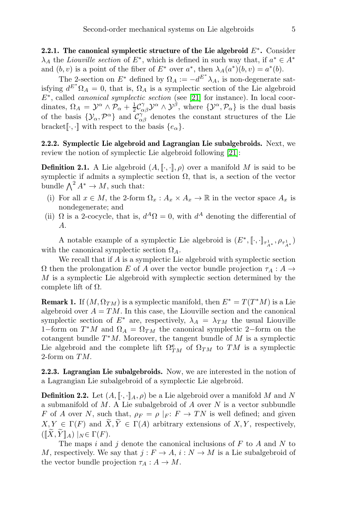2.2.1. The canonical symplectic structure of the Lie algebroid  $E^*$ . Consider  $\lambda_A$  the Liouville section of  $E^*$ , which is defined in such way that, if  $a^* \in A^*$ and  $(b, v)$  is a point of the fiber of  $E^*$  over  $a^*$ , then  $\lambda_A(a^*)(b, v) = a^*(b)$ .

The 2-section on  $E^*$  defined by  $\Omega_A := -d^{E^*} \lambda_A$ , is non-degenerate satisfying  $d^{E^*}\Omega_A = 0$ , that is,  $\Omega_A$  is a symplectic section of the Lie algebroid E<sup>∗</sup> , called canonical symplectic section (see [\[21\]](#page-18-11) for instance). In local coordinates,  $\Omega_A = \mathcal{Y}^\alpha \wedge \mathcal{P}_\alpha + \frac{1}{2} \mathcal{C}_{\alpha\beta}^{\gamma} \mathcal{Y}^\alpha \wedge \mathcal{Y}^\beta$ , where  $\{\mathcal{Y}^\alpha, \mathcal{P}_\alpha\}$  is the dual basis of the basis  $\{\mathcal{Y}_{\alpha}, \mathcal{P}^{\alpha}\}\$  and  $\mathcal{C}_{\alpha\beta}^{\gamma'}$  denotes the constant structures of the Lie bracket $[\cdot, \cdot]$  with respect to the basis  $\{e_{\alpha}\}.$ 

2.2.2. Symplectic Lie algebroid and Lagrangian Lie subalgebroids. Next, we review the notion of symplectic Lie algebroid following [\[21\]](#page-18-11):

**Definition 2.1.** A Lie algebroid  $(A, \lbrack \lbrack \cdot, \cdot \rbrack, \rho)$  over a manifold M is said to be symplectic if admits a symplectic section  $\Omega$ , that is, a section of the vector bundle  $\bigwedge^2 A^* \to M$ , such that:

- (i) For all  $x \in M$ , the 2-form  $\Omega_x : A_x \times A_x \to \mathbb{R}$  in the vector space  $A_x$  is nondegenerate; and
- (ii)  $\Omega$  is a 2-cocycle, that is,  $d^A \Omega = 0$ , with  $d^A$  denoting the differential of A.

A notable example of a symplectic Lie algebroid is  $(E^*, \lbrack\! \lbrack\cdot,\cdot\rbrack\! \rbrack_{\tau_{A^*}^1}, \rho_{\tau_{A^*}^1}$ with the canonical symplectic section  $\Omega_A$ .

We recall that if A is a symplectic Lie algebroid with symplectic section  $\Omega$  then the prolongation E of A over the vector bundle projection  $\tau_A : A \rightarrow$ M is a symplectic Lie algebroid with symplectic section determined by the complete lift of  $Ω$ .

**Remark 1.** If  $(M, \Omega_{TM})$  is a symplectic manifold, then  $E^* = T(T^*M)$  is a Lie algebroid over  $A = TM$ . In this case, the Liouville section and the canonical symplectic section of  $E^*$  are, respectively,  $\lambda_A = \lambda_{TM}$  the usual Liouville 1–form on  $T^*M$  and  $\Omega_A = \Omega_{TM}$  the canonical symplectic 2–form on the cotangent bundle  $T^*M$ . Moreover, the tangent bundle of M is a symplectic Lie algebroid and the complete lift  $\Omega_{TM}^{\mathbf{c}}$  of  $\Omega_{TM}$  to  $TM$  is a symplectic 2-form on TM.

2.2.3. Lagrangian Lie subalgebroids. Now, we are interested in the notion of a Lagrangian Lie subalgebroid of a symplectic Lie algebroid.

**Definition 2.2.** Let  $(A, [\![\cdot, \cdot]\!]_A, \rho)$  be a Lie algebroid over a manifold M and N a submanifold of  $M$ . A Lie subalgebroid of  $A$  over  $N$  is a vector subbundle F of A over N, such that,  $\rho_F = \rho |_F : F \to TN$  is well defined; and given  $X, Y \in \Gamma(F)$  and  $\tilde{X}, \tilde{Y} \in \Gamma(A)$  arbitrary extensions of  $X, Y$ , respectively,  $(\llbracket X, Y \rrbracket_A) \mid_N \in \Gamma(F).$ 

The maps i and j denote the canonical inclusions of  $F$  to  $A$  and  $N$  to M, respectively. We say that  $j: F \to A$ ,  $i: N \to M$  is a Lie subalgebroid of the vector bundle projection  $\tau_A : A \to M$ .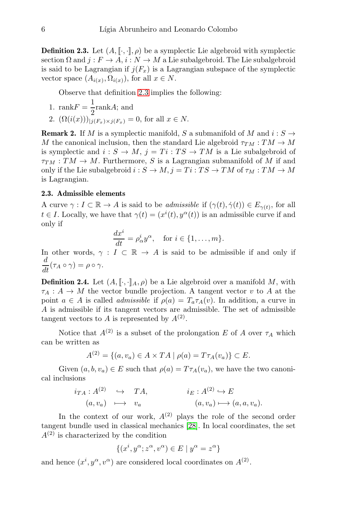<span id="page-5-0"></span>**Definition 2.3.** Let  $(A, \lbrack \lbrack \cdot, \cdot \rbrack, \rho)$  be a symplectic Lie algebroid with symplectic section  $\Omega$  and  $j : F \to A$ ,  $i : N \to M$  a Lie subalgebroid. The Lie subalgebroid is said to be Lagrangian if  $j(F_x)$  is a Lagrangian subspace of the symplectic vector space  $(A_{i(x)}, \Omega_{i(x)})$ , for all  $x \in N$ .

Observe that definition [2.3](#page-5-0) implies the following:

1. 
$$
\text{rank}F = \frac{1}{2}\text{rank}A
$$
; and

2.  $(\Omega(i(x)))_{|j(F_x)\times j(F_x)} = 0$ , for all  $x \in N$ .

**Remark 2.** If M is a symplectic manifold, S a submanifold of M and  $i: S \rightarrow$ M the canonical inclusion, then the standard Lie algebroid  $\tau_{TM}: TM \to M$ is symplectic and  $i : S \to M$ ,  $j = Ti : TS \to TM$  is a Lie subalgebroid of  $\tau_{TM}: TM \to M$ . Furthermore, S is a Lagrangian submanifold of M if and only if the Lie subalgebroid  $i : S \to M$ ,  $j = Ti : TS \to TM$  of  $\tau_M : TM \to M$ is Lagrangian.

#### 2.3. Admissible elements

A curve  $\gamma: I \subset \mathbb{R} \to A$  is said to be *admissible* if  $(\gamma(t), \dot{\gamma}(t)) \in E_{\gamma(t)}$ , for all  $t \in I$ . Locally, we have that  $\gamma(t) = (x^{i}(t), y^{\alpha}(t))$  is an admissible curve if and only if

$$
\frac{dx^i}{dt} = \rho^i_\alpha y^\alpha, \text{ for } i \in \{1, \dots, m\}.
$$

In other words,  $\gamma : I \subset \mathbb{R} \to A$  is said to be admissible if and only if  $\frac{d}{dt}(\tau_A \circ \gamma) = \rho \circ \gamma.$ 

**Definition 2.4.** Let  $(A, \lbrack \lbrack \cdot, \cdot \rbrack \rbrack_A, \rho)$  be a Lie algebroid over a manifold M, with  $\tau_A: A \to M$  the vector bundle projection. A tangent vector v to A at the point  $a \in A$  is called *admissible* if  $\rho(a) = T_a \tau_A(v)$ . In addition, a curve in A is admissible if its tangent vectors are admissible. The set of admissible tangent vectors to A is represented by  $A^{(2)}$ .

Notice that  $A^{(2)}$  is a subset of the prolongation E of A over  $\tau_A$  which can be written as

$$
A^{(2)} = \{(a, v_a) \in A \times TA \mid \rho(a) = T\tau_A(v_a)\} \subset E.
$$

Given  $(a, b, v_a) \in E$  such that  $\rho(a) = T\tau_A(v_a)$ , we have the two canonical inclusions

$$
i_{TA}: A^{(2)} \quad \hookrightarrow \quad TA, \qquad \qquad i_E: A^{(2)} \hookrightarrow E
$$

$$
(a, v_a) \quad \longmapsto \quad v_a \qquad \qquad (a, v_a) \longmapsto (a, a, v_a).
$$

In the context of our work,  $A^{(2)}$  plays the role of the second order tangent bundle used in classical mechanics [\[28\]](#page-18-9). In local coordinates, the set  $A^{(2)}$  is characterized by the condition

$$
\{(x^i, y^\alpha; z^\alpha, v^\alpha) \in E \mid y^\alpha = z^\alpha\}
$$

and hence  $(x^i, y^\alpha, v^\alpha)$  are considered local coordinates on  $A^{(2)}$ .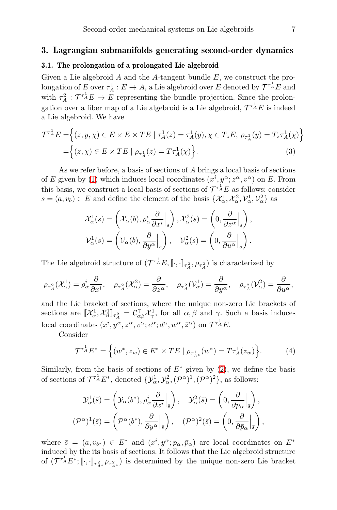# 3. Lagrangian submanifolds generating second-order dynamics

# 3.1. The prolongation of a prolongated Lie algebroid

Given a Lie algebroid  $A$  and the  $A$ -tangent bundle  $E$ , we construct the prolongation of E over  $\tau_A^1 : E \to A$ , a Lie algebroid over E denoted by  $\mathcal{T}^{\tau_A^1}E$  and with  $\tau_A^2$ :  $\mathcal{T}^{\tau_A^1}E \to E$  representing the bundle projection. Since the prolongation over a fiber map of a Lie algebroid is a Lie algebroid,  $\mathcal{T}^{\tau_A^1}E$  is indeed a Lie algebroid. We have

$$
\mathcal{T}^{\tau_A^1} E = \left\{ (z, y, \chi) \in E \times E \times TE \mid \tau_A^1(z) = \tau_A^1(y), \chi \in T_z E, \ \rho_{\tau_A^1}(y) = T_z \tau_A^1(\chi) \right\}
$$

$$
= \left\{ (z, \chi) \in E \times TE \mid \rho_{\tau_A^1}(z) = T \tau_A^1(\chi) \right\}.
$$

$$
(3)
$$

As we refer before, a basis of sections of A brings a local basis of sections of E given by [\(1\)](#page-3-0) which induces local coordinates  $(x^{i}, y^{\alpha}; z^{\alpha}, v^{\alpha})$  on E. From this basis, we construct a local basis of sections of  $\mathcal{T}^{\tau_A^1}E$  as follows: consider  $s = (a, v_b) \in E$  and define the element of the basis  $\{\mathcal{X}_{\alpha}^1, \mathcal{X}_{\alpha}^2, \mathcal{V}_{\alpha}^1, \mathcal{V}_{\alpha}^2\}$  as

<span id="page-6-0"></span>
$$
\mathcal{X}_{\alpha}^{1}(s) = \left( \mathcal{X}_{\alpha}(b), \rho_{\alpha}^{i} \frac{\partial}{\partial x^{i}} \Big|_{s} \right), \mathcal{X}_{\alpha}^{2}(s) = \left( 0, \frac{\partial}{\partial z^{\alpha}} \Big|_{s} \right),
$$
  

$$
\mathcal{V}_{\alpha}^{1}(s) = \left( \mathcal{V}_{\alpha}(b), \frac{\partial}{\partial y^{\alpha}} \Big|_{s} \right), \quad \mathcal{V}_{\alpha}^{2}(s) = \left( 0, \frac{\partial}{\partial u^{\alpha}} \Big|_{s} \right).
$$

The Lie algebroid structure of  $(\mathcal{T}^{\tau_A^1}E, \lbrack \cdot, \cdot \rbrack_{\tau_A^2}, \rho_{\tau_A^2})$  is characterized by

$$
\rho_{\tau_A^2}(\mathcal{X}_{\alpha}^1) = \rho_{\alpha}^i \frac{\partial}{\partial x^i}, \quad \rho_{\tau_A^2}(\mathcal{X}_{\alpha}^2) = \frac{\partial}{\partial z^{\alpha}}, \quad \rho_{\tau_A^2}(\mathcal{V}_{\alpha}^1) = \frac{\partial}{\partial y^{\alpha}}, \quad \rho_{\tau_A^2}(\mathcal{V}_{\alpha}^2) = \frac{\partial}{\partial u^{\alpha}},
$$

and the Lie bracket of sections, where the unique non-zero Lie brackets of sections are  $[\![\mathcal{X}_{\alpha}^1,\mathcal{X}_{\beta}^1]\!]_{\tau_A^2} = \mathcal{C}_{\alpha\beta}^{\gamma}\mathcal{X}_{\gamma}^1$ , for all  $\alpha,\beta$  and  $\gamma$ . Such a basis induces local coordinates  $(x^i, y^\alpha, z^\alpha, v^\alpha; e^\alpha; d^\alpha, w^\alpha, \bar{z}^\alpha)$  on  $\mathcal{T}^{\tau_A^1}E$ .

Consider

<span id="page-6-1"></span>
$$
\mathcal{T}^{\tau_A^1} E^* = \left\{ (w^*, z_w) \in E^* \times TE \mid \rho_{\tau_{A^*}^1}(w^*) = T \tau_A^1(z_w) \right\}.
$$
 (4)

Similarly, from the basis of sections of  $E^*$  given by [\(2\)](#page-3-1), we define the basis of sections of  $\mathcal{T}^{\tau_A^1} E^*$ , denoted  $\{\mathcal{Y}^1_{\alpha}, \mathcal{Y}^2_{\alpha}, (\mathcal{P}^{\alpha})^1, (\mathcal{P}^{\alpha})^2\}$ , as follows:

$$
\mathcal{Y}_{\alpha}^{1}(\bar{s}) = \left(\mathcal{Y}_{\alpha}(b^{*}), \rho_{\alpha}^{i} \frac{\partial}{\partial x^{i}}\Big|_{\bar{s}}\right), \quad \mathcal{Y}_{\alpha}^{2}(\bar{s}) = \left(0, \frac{\partial}{\partial p_{\alpha}}\Big|_{\bar{s}}\right),
$$

$$
(\mathcal{P}^{\alpha})^{1}(\bar{s}) = \left(\mathcal{P}^{\alpha}(b^{*}), \frac{\partial}{\partial y^{\alpha}}\Big|_{\bar{s}}\right), \quad (\mathcal{P}^{\alpha})^{2}(\bar{s}) = \left(0, \frac{\partial}{\partial \bar{p}_{\alpha}}\Big|_{\bar{s}}\right),
$$

where  $\bar{s} = (a, v_{b^*}) \in E^*$  and  $(x^i, y^{\alpha}; p_{\alpha}, \bar{p}_{\alpha})$  are local coordinates on  $E^*$ induced by the its basis of sections. It follows that the Lie algebroid structure of  $({\cal T}^{\tau_A^1}E^*; \llbracket \cdot, \cdot \rrbracket_{\tau_{A^*}^2} \rho_{\tau_{A^*}^2})$  is determined by the unique non-zero Lie bracket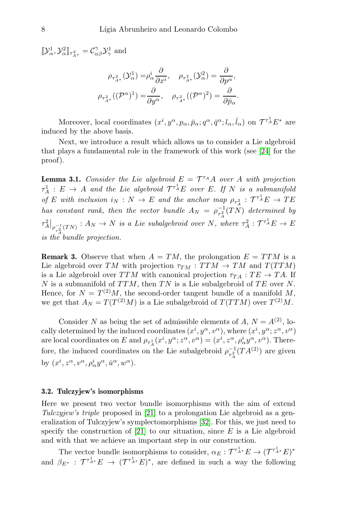$[\![\mathcal{Y}^1_{\alpha},\mathcal{Y}^2_{\alpha}]\!]_{\tau^2_{A^*}}=\mathcal{C}^\gamma_{\alpha\beta}\mathcal{Y}^1_{\gamma}$  and

$$
\rho_{\tau_{A^*}^2}(\mathcal{Y}_{\alpha}^1) = \rho_{\alpha}^i \frac{\partial}{\partial x^i}, \quad \rho_{\tau_{A^*}^2}(\mathcal{Y}_{\alpha}^2) = \frac{\partial}{\partial p^{\alpha}},
$$

$$
\rho_{\tau_{A^*}^2}((\mathcal{P}^{\alpha})^1) = \frac{\partial}{\partial y^{\alpha}}, \quad \rho_{\tau_{A^*}^2}((\mathcal{P}^{\alpha})^2) = \frac{\partial}{\partial \bar{p}_{\alpha}}.
$$

Moreover, local coordinates  $(x^i, y^\alpha, p_\alpha, \bar{p}_\alpha; q^\alpha, \bar{q}^\alpha; l_\alpha, \bar{l}_\alpha)$  on  $\mathcal{T}^{\tau_A^1} E^*$  are induced by the above basis.

Next, we introduce a result which allows us to consider a Lie algebroid that plays a fundamental role in the framework of this work (see [\[24\]](#page-18-17) for the proof).

<span id="page-7-0"></span>**Lemma 3.1.** Consider the Lie algebroid  $E = \mathcal{T}^{\tau_A} A$  over A with projection  $\tau_A^1 : E \to A$  and the Lie algebroid  $\mathcal{T}^{\tau_A^1}E$  over E. If N is a submanifold of E with inclusion  $i_N : N \to E$  and the anchor map  $\rho_{\tau_A^2} : \mathcal{T}^{\tau_A^1} E \to TE$ has constant rank, then the vector bundle  $A_N = \rho_{\tau_A^2}^{-1}(TN)$  determined by  $\tau_A^2\big|_{\rho_{\tau_A^2}(TN)}: A_N \to N$  is a Lie subalgebroid over N, where  $\tau_A^2: \mathcal{T}^{\tau_A^1}E \to E$ is the bundle projection.

**Remark 3.** Observe that when  $A = TM$ , the prolongation  $E = TTM$  is a Lie algebroid over TM with projection  $\tau_{TM} : TTM \rightarrow TM$  and  $T(TTM)$ is a Lie algebroid over TTM with canonical projection  $\tau_{TA}: TE \to TA$ . If N is a submanifold of  $TTM$ , then TN is a Lie subalgebroid of TE over N. Hence, for  $N = T^{(2)}M$ , the second-order tangent bundle of a manifold M, we get that  $A_N = T(T^{(2)}M)$  is a Lie subalgebroid of  $T(TTM)$  over  $T^{(2)}M$ .

Consider N as being the set of admissible elements of A,  $N = A^{(2)}$ , locally determined by the induced coordinates  $(x^i, y^\alpha, v^\alpha)$ , where  $(x^i, y^\alpha; z^\alpha, v^\alpha)$ are local coordinates on E and  $\rho_{\tau_A^1}(x^i, y^\alpha; z^\alpha, v^\alpha) = (x^i, z^\alpha, \rho_\alpha^i y^\alpha, v^\alpha)$ . Therefore, the induced coordinates on the Lie subalgebroid  $\rho_{\tau_A^2}^{-1}(TA^{(2)})$  are given by  $(x^i, z^\alpha, v^\alpha, \rho^i_\alpha y^\alpha, \bar{u}^\alpha, w^\alpha)$ .

#### 3.2. Tulczyjew's isomorphisms

Here we present two vector bundle isomorphisms with the aim of extend Tulczyjew's triple proposed in [\[21\]](#page-18-11) to a prolongation Lie algebroid as a generalization of Tulczyjew's symplectomorphisms [\[32\]](#page-18-18). For this, we just need to specify the construction of  $[21]$  to our situation, since E is a Lie algebroid and with that we achieve an important step in our construction.

The vector bundle isomorphisms to consider,  $\alpha_E : \mathcal{T}^{\tau_A^1*} E \to (\mathcal{T}^{\tau_A^1*} E)^*$ and  $\beta_{E^*}$  :  $\mathcal{T}^{\tau_A^1*}E \to (\mathcal{T}^{\tau_A^1*}E)^*$ , are defined in such a way the following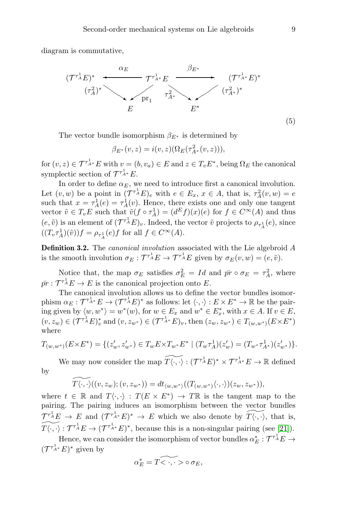diagram is commutative,



The vector bundle isomorphism  $\beta_{E^*}$  is determined by

<span id="page-8-0"></span> $\beta_{E^*}(v, z) = i(v, z)(\Omega_E(\tau_{A^*}^2(v, z))),$ 

for  $(v, z) \in \mathcal{T}^{\tau_A^*}E$  with  $v = (b, v_a) \in E$  and  $z \in T_v E^*$ , being  $\Omega_E$  the canonical symplectic section of  $\mathcal{T}^{\tau_A^1*}E$ .

In order to define  $\alpha_E$ , we need to introduce first a canonical involution. Let  $(v, w)$  be a point in  $(\mathcal{T}^{\tau_A^1} E)_e$  with  $e \in E_x$ ,  $x \in A$ , that is,  $\tau_A^2(v, w) = e$ such that  $x = \tau_A^1(e) = \tau_A^1(v)$ . Hence, there exists one and only one tangent vector  $\tilde{v} \in T_v E$  such that  $\tilde{v}(f \circ \tau_A^1) = (d^E f)(x)(e)$  for  $f \in C^{\infty}(A)$  and thus  $(e, \tilde{v})$  is an element of  $(\mathcal{T}^{\tau_A^1} E)_v$ . Indeed, the vector  $\tilde{v}$  projects to  $\rho_{\tau_A^1}(e)$ , since  $((T_v \tau_A^1)(\tilde{v}))f = \rho_{\tau_A^1}(e)f$  for all  $f \in C^{\infty}(A)$ .

Definition 3.2. The canonical involution associated with the Lie algebroid A is the smooth involution  $\sigma_E: \mathcal{T}^{\tau_A^1} E \to \mathcal{T}^{\tau_A^1} E$  given by  $\sigma_E(v, w) = (e, \tilde{v})$ .

Notice that, the map  $\sigma_E$  satisfies  $\sigma_E^2 = Id$  and  $\bar{p}_i \circ \sigma_E = \tau_A^2$ , where  $\bar{pr}: \mathcal{T}^{\tau_A^1} E \to E$  is the canonical projection onto E.

The canonical involution allows us to define the vector bundles isomorphism  $\alpha_E: \mathcal{T}^{\tau_A^1*}E \to (\mathcal{T}^{\tau_A^1}E)^*$  as follows: let  $\langle \cdot, \cdot \rangle : E \times E^* \to \mathbb{R}$  be the pairing given by  $\langle w, w^* \rangle = w^*(w)$ , for  $w \in E_x$  and  $w^* \in E_x^*$ , with  $x \in A$ . If  $v \in E$ ,  $(v, z_w) \in (\mathcal{T}^{\tau_A^1} E)_v^*$  and  $(v, z_{w^*}) \in (\mathcal{T}^{\tau_A^1*} E)_v$ , then  $(z_w, z_{w^*}) \in T_{(w,w^*)}(E \times E^*)$ where

$$
T_{(w,w^*)}(E \times E^*) = \{ (z'_w, z'_{w^*}) \in T_w E \times T_{w^*} E^* \mid (T_w \tau_A^1)(z'_w) = (T_{w^*} \tau_A^1)(z'_{w^*}) \}.
$$

We may now consider the map  $\widetilde{T(\cdot,\cdot)} : (\mathcal{T}^{\tau_A^1} E)^* \times \mathcal{T}^{\tau_A^1*} E \to \mathbb{R}$  defined by

$$
\widetilde{T\langle \cdot, \cdot \rangle}((v, z_w); (v, z_{w^*})) = dt_{\langle w, w^* \rangle}((T_{(w, w^*)}\langle \cdot, \cdot \rangle)(z_w, z_{w^*})),
$$

where  $t \in \mathbb{R}$  and  $T\langle \cdot, \cdot \rangle : T(E \times E^*) \to T\mathbb{R}$  is the tangent map to the pairing. The pairing induces an isomorphism between the vector bundles  $\mathcal{T}^{\tau_A^1}E \to E$  and  $(\mathcal{T}^{\tau_A^1*}E)^* \to E$  which we also denote by  $\widetilde{T(\cdot,\cdot)}$ , that is,  $\widetilde{T(\cdot,\cdot)} : \mathcal{T}^{\tau_A^1} E \to (\mathcal{T}^{\tau_A^1*} E)^*$ , because this is a non-singular pairing (see [\[21\]](#page-18-11)).

Hence, we can consider the isomorphism of vector bundles  $\alpha_E^* : \mathcal{T}^{\tau_A^1} E \to$  $({\mathcal T}^{\tau_A^1*}E)^*$  given by

$$
\alpha_E^* = \widetilde{T\mathord{<}\cdot,\cdot\mathord{>}\circ\sigma_E},
$$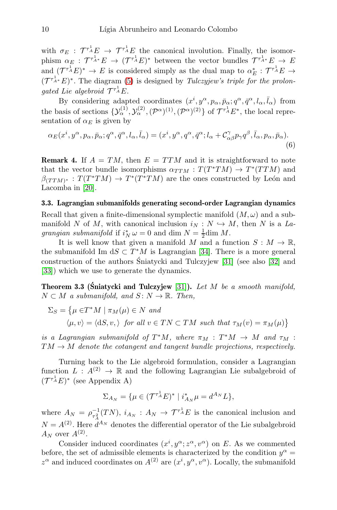with  $\sigma_E$ :  $\mathcal{T}^{\tau_A^1}E \to \mathcal{T}^{\tau_A^1}E$  the canonical involution. Finally, the isomorphism  $\alpha_E : \mathcal{T}^{\tau_A^1*} E \to (\mathcal{T}^{\tau_A^1} E)^*$  between the vector bundles  $\mathcal{T}^{\tau_A^1*} E \to E$ and  $({\mathcal T}^{\tau_A^1}E)^* \to E$  is considered simply as the dual map to  $\alpha_E^*: {\mathcal T}^{\tau_A^1}E \to$  $({\mathcal T}^{\tau_A^1*}E)^*$ . The diagram [\(5\)](#page-8-0) is designed by *Tulczyjew's triple for the prolon*gated Lie algebroid  $\mathcal{T}^{\tau_A^1}E$ .

By considering adapted coordinates  $(x^i, y^\alpha, p_\alpha, \bar{p}_\alpha; q^\alpha, \bar{q}^\alpha, l_\alpha, \bar{l}_\alpha)$  from the basis of sections  $\{\mathcal{Y}_{\alpha}^{(1)}, \mathcal{Y}_{\alpha}^{(2)}, (\mathcal{P}^{\alpha})^{(1)}, (\mathcal{P}^{\alpha})^{(2)}\}$  of  $\mathcal{T}^{\tau_A^1} E^*$ , the local representation of  $\alpha_E$  is given by

$$
\alpha_E(x^i, y^\alpha, p_\alpha, \bar{p}_\alpha; q^\alpha, \bar{q}^\alpha, l_\alpha, \bar{l}_\alpha) = (x^i, y^\alpha, q^\alpha, \bar{q}^\alpha; l_\alpha + C_{\alpha\beta}^\gamma p_\gamma q^\beta, \bar{l}_\alpha, p_\alpha, \bar{p}_\alpha). \tag{6}
$$

**Remark 4.** If  $A = TM$ , then  $E = TTM$  and it is straightforward to note that the vector bundle isomorphisms  $\alpha_{TTM} : T(T^*TM) \to T^*(TTM)$  and  $\beta_{(TTM)^*}: T(T^*TM) \to T^*(T^*TM)$  are the ones constructed by León and Lacomba in [\[20\]](#page-18-15).

# <span id="page-9-0"></span>3.3. Lagrangian submanifolds generating second-order Lagrangian dynamics Recall that given a finite-dimensional symplectic manifold  $(M, \omega)$  and a submanifold N of M, with canonical inclusion  $i_N : N \hookrightarrow M$ , then N is a Lagrangian submanifold if  $i_N^* \omega = 0$  and dim  $N = \frac{1}{2}$ dim M.

It is well know that given a manifold M and a function  $S : M \to \mathbb{R}$ , the submanifold Im  $dS \subset T^*M$  is Lagrangian [\[34\]](#page-19-2). There is a more general construction of the authors Sniatycki and Tulczyjew [\[31\]](#page-18-19) (see also [\[32\]](#page-18-18) and ´ [\[33\]](#page-19-3)) which we use to generate the dynamics.

**Theorem 3.3 (Sniatycki and Tulczyjew** [\[31\]](#page-18-19)). Let M be a smooth manifold,  $N \subset M$  a submanifold, and  $S: N \to \mathbb{R}$ . Then,

$$
\Sigma_S = \{ \mu \in T^*M \mid \pi_M(\mu) \in N \text{ and}
$$
  

$$
\langle \mu, v \rangle = \langle dS, v, \rangle \text{ for all } v \in TN \subset TM \text{ such that } \tau_M(v) = \pi_M(\mu) \}
$$

is a Lagrangian submanifold of  $T^*M$ , where  $\pi_M : T^*M \to M$  and  $\tau_M$ :  $TM \rightarrow M$  denote the cotangent and tangent bundle projections, respectively.

Turning back to the Lie algebroid formulation, consider a Lagrangian function  $L : A^{(2)} \to \mathbb{R}$  and the following Lagrangian Lie subalgebroid of  $({\mathcal T}^{\tau_A^1}E)^*$  (see Appendix A)

$$
\Sigma_{A_N} = \{ \mu \in (\mathcal{T}^{\tau_A^1} E)^* \mid i_{A_N}^* \mu = d^{A_N} L \},
$$

where  $A_N = \rho_{\tau_A^2}^{-1}(TN)$ ,  $i_{A_N}$ :  $A_N \to \mathcal{T}^{\tau_A^1}E$  is the canonical inclusion and  $N = A^{(2)}$ . Here  $d^{A_N}$  denotes the differential operator of the Lie subalgebroid  $A_N$  over  $A^{(2)}$ .

Consider induced coordinates  $(x^i, y^\alpha; z^\alpha, v^\alpha)$  on E. As we commented before, the set of admissible elements is characterized by the condition  $y^{\alpha} =$  $z^{\alpha}$  and induced coordinates on  $A^{(2)}$  are  $(x^{i}, y^{\alpha}, v^{\alpha})$ . Locally, the submanifold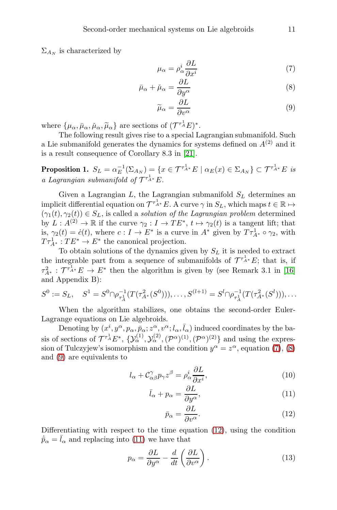$\Sigma_{A_N}$  is characterized by

<span id="page-10-0"></span>
$$
\mu_{\alpha} = \rho_{\alpha}^{i} \frac{\partial L}{\partial x^{i}} \tag{7}
$$

$$
\bar{\mu}_{\alpha} + \check{\mu}_{\alpha} = \frac{\partial L}{\partial y^{\alpha}}
$$
\n(8)

<span id="page-10-2"></span><span id="page-10-1"></span>
$$
\widetilde{\mu}_{\alpha} = \frac{\partial L}{\partial v^{\alpha}} \tag{9}
$$

where  $\{\mu_{\alpha}, \bar{\mu}_{\alpha}, \tilde{\mu}_{\alpha}\}\$  are sections of  $({\cal T}^{\tau_A^1}E)^*$ .

The following result gives rise to a special Lagrangian submanifold. Such a Lie submanifold generates the dynamics for systems defined on  $A^{(2)}$  and it is a result consequence of Corollary 8.3 in [\[21\]](#page-18-11).

**Proposition 1.**  $S_L = \alpha_E^{-1}(\Sigma_{A_N}) = \{x \in \mathcal{T}^{\tau_A^*}E \mid \alpha_E(x) \in \Sigma_{A_N}\} \subset \mathcal{T}^{\tau_A^*}E$  is a Lagrangian submanifold of  $\mathcal{T}^{\tau_A^1*}E$ .

Given a Lagrangian  $L$ , the Lagrangian submanifold  $S_L$  determines an implicit differential equation on  $\mathcal{T}^{\tau_A^1*}E$ . A curve  $\gamma$  in  $S_L$ , which maps  $t \in \mathbb{R} \mapsto$  $(\gamma_1(t), \gamma_2(t)) \in S_L$ , is called a *solution of the Lagrangian problem* determined by  $L: A^{(2)} \to \mathbb{R}$  if the curve  $\gamma_2: I \to TE^*, t \mapsto \gamma_2(t)$  is a tangent lift; that is,  $\gamma_2(t) = \dot{c}(t)$ , where  $c: I \to E^*$  is a curve in  $A^*$  given by  $T\tau_{A^*}^1 \circ \gamma_2$ , with  $T\tau_{A^*}^1 : TE^* \to E^*$  the canonical projection.

To obtain solutions of the dynamics given by  $S_L$  it is needed to extract the integrable part from a sequence of submanifolds of  $\mathcal{T}^{\tau_A^*}E$ ; that is, if  $\tau_{A^*}^2$ :  $\mathcal{T}^{\tau_{A^*}}E \to E^*$  then the algorithm is given by (see Remark 3.1 in [\[16\]](#page-18-1) and Appendix B):

$$
S^{0} := S_{L}, \quad S^{1} = S^{0} \cap \rho_{\tau_{A}^{1}}^{-1}(T(\tau_{A^{*}}^{2}(S^{0}))), \dots, S^{(l+1)} = S^{l} \cap \rho_{\tau_{A}^{1}}^{-1}(T(\tau_{A^{*}}^{2}(S^{l}))), \dots
$$

When the algorithm stabilizes, one obtains the second-order Euler-Lagrange equations on Lie algebroids.

Denoting by  $(x^i, y^\alpha, p_\alpha, \bar{p}_\alpha; z^\alpha, v^\alpha; l_\alpha, \bar{l}_\alpha)$  induced coordinates by the basis of sections of  $\mathcal{T}^{\tau_A^1} E^*, \{ \mathcal{Y}_{\alpha}^{(1)}, \mathcal{Y}_{\alpha}^{(2)}, (\mathcal{P}^{\alpha})^{(1)}, (\mathcal{P}^{\alpha})^{(2)} \}$  and using the expression of Tulczyjew's isomorphism and the condition  $y^{\alpha} = z^{\alpha}$ , equation [\(7\)](#page-10-0), [\(8\)](#page-10-1) and [\(9\)](#page-10-2) are equivalents to

$$
l_{\alpha} + C^{\gamma}_{\alpha\beta} p_{\gamma} z^{\beta} = \rho_{\alpha}^{i} \frac{\partial L}{\partial x^{i}},
$$
\n(10)

$$
\bar{l}_{\alpha} + p_{\alpha} = \frac{\partial L}{\partial y^{\alpha}},\tag{11}
$$

<span id="page-10-5"></span><span id="page-10-4"></span><span id="page-10-3"></span>
$$
\bar{p}_{\alpha} = \frac{\partial L}{\partial v^{\alpha}}.\tag{12}
$$

Differentiating with respect to the time equation [\(12\)](#page-10-3), using the condition  $\dot{\bar{p}}_{\alpha} = \bar{l}_{\alpha}$  and replacing into [\(11\)](#page-10-4) we have that

<span id="page-10-6"></span>
$$
p_{\alpha} = \frac{\partial L}{\partial y^{\alpha}} - \frac{d}{dt} \left( \frac{\partial L}{\partial v^{\alpha}} \right).
$$
 (13)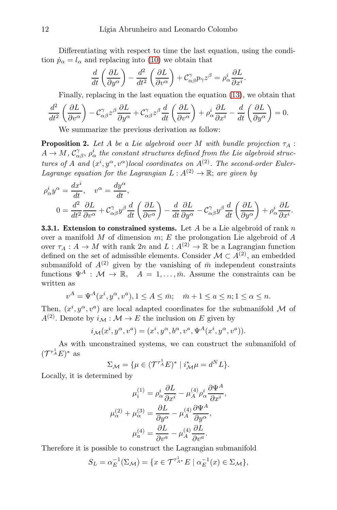Differentiating with respect to time the last equation, using the condition  $\dot{p}_{\alpha} = l_{\alpha}$  and replacing into [\(10\)](#page-10-5) we obtain that

$$
\frac{d}{dt}\left(\frac{\partial L}{\partial y^{\alpha}}\right) - \frac{d^{2}}{dt^{2}}\left(\frac{\partial L}{\partial v^{\alpha}}\right) + \mathcal{C}_{\alpha\beta}^{\gamma}p_{\gamma}z^{\beta} = \rho_{\alpha}^{i}\frac{\partial L}{\partial x^{i}}.
$$

Finally, replacing in the last equation the equation [\(13\)](#page-10-6), we obtain that

$$
\frac{d^2}{dt^2} \left( \frac{\partial L}{\partial v^{\alpha}} \right) - \mathcal{C}_{\alpha\beta}^{\gamma} z^{\beta} \frac{\partial L}{\partial y^{\alpha}} + \mathcal{C}_{\alpha\beta}^{\gamma} z^{\beta} \frac{d}{dt} \left( \frac{\partial L}{\partial v^{\alpha}} \right) + \rho_{\alpha}^{i} \frac{\partial L}{\partial x^{i}} - \frac{d}{dt} \left( \frac{\partial L}{\partial y^{\alpha}} \right) = 0.
$$

We summarize the previous derivation as follow:

**Proposition 2.** Let A be a Lie algebroid over M with bundle projection  $\tau_A$ :  $A \to M$ ,  $\mathcal{C}_{\alpha\beta}^{\gamma}$ ,  $\rho_{\alpha}^{i}$  the constant structures defined from the Lie algebroid structures of A and  $(x^{i}, y^{\alpha}, v^{\alpha})$ local coordinates on  $A^{(2)}$ . The second-order Euler-Lagrange equation for the Lagrangian  $L : A^{(2)} \to \mathbb{R}$ ; are given by

$$
\rho_{\alpha}^{i} y^{\alpha} = \frac{dx^{i}}{dt}, \quad v^{\alpha} = \frac{dy^{\alpha}}{dt},
$$

$$
0 = \frac{d^{2}}{dt^{2}} \frac{\partial L}{\partial v^{\alpha}} + C_{\alpha\beta}^{\gamma} y^{\beta} \frac{d}{dt} \left(\frac{\partial L}{\partial v^{\alpha}}\right) - \frac{d}{dt} \frac{\partial L}{\partial y^{\alpha}} - C_{\alpha\beta}^{\gamma} y^{\beta} \frac{d}{dt} \left(\frac{\partial L}{\partial y^{\alpha}}\right) + \rho_{\alpha}^{i} \frac{\partial L}{\partial x^{i}}.
$$

**3.3.1. Extension to constrained systems.** Let A be a Lie algebroid of rank n over a manifold M of dimension  $m: E$  the prolongation Lie algebroid of A over  $\tau_A : A \to M$  with rank  $2n$  and  $L : A^{(2)} \to \mathbb{R}$  be a Lagrangian function defined on the set of admissible elements. Consider  $\mathcal{M} \subset A^{(2)}$ , an embedded submanifold of  $A^{(2)}$  given by the vanishing of  $\bar{m}$  independent constraints functions  $\Psi^A$ :  $\mathcal{M} \to \mathbb{R}$ ,  $A = 1, \ldots, \overline{m}$ . Assume the constraints can be written as

$$
v^{A} = \Psi^{A}(x^{i}, y^{\alpha}, v^{a}), 1 \le A \le \bar{m}; \quad \bar{m} + 1 \le a \le n; 1 \le \alpha \le n.
$$

Then,  $(x^{i}, y^{\alpha}, v^{a})$  are local adapted coordinates for the submanifold M of  $A^{(2)}$ . Denote by  $i_{\mathcal{M}} : \mathcal{M} \to E$  the inclusion on E given by

$$
i_{\mathcal{M}}(x^i, y^\alpha, v^a) = (x^i, y^\alpha, b^\alpha, v^a, \Psi^A(x^i, y^\alpha, v^a)).
$$

As with unconstrained systems, we can construct the submanifold of  $({\mathcal T}^{\tau_A^1}E)^*$  as

$$
\Sigma_{\mathcal{M}} = \{ \mu \in (\mathcal{T}^{\tau_A^1} E)^* \mid i_{\mathcal{M}}^* \mu = d^N L \}.
$$

Locally, it is determined by

$$
\mu_i^{(1)} = \rho_\alpha^i \frac{\partial L}{\partial x^i} - \mu_A^{(4)} \rho_\alpha^i \frac{\partial \Psi^A}{\partial x^i},
$$

$$
\mu_\alpha^{(2)} + \mu_\alpha^{(3)} = \frac{\partial L}{\partial y^\alpha} - \mu_A^{(4)} \frac{\partial \Psi^A}{\partial y^\alpha},
$$

$$
\mu_a^{(4)} = \frac{\partial L}{\partial v^a} - \mu_A^{(4)} \frac{\partial L}{\partial v^a}.
$$

Therefore it is possible to construct the Lagrangian submanifold

$$
S_L = \alpha_E^{-1}(\Sigma_{\mathcal{M}}) = \{ x \in \mathcal{T}^{\tau_A^1*} E \mid \alpha_E^{-1}(x) \in \Sigma_{\mathcal{M}} \},
$$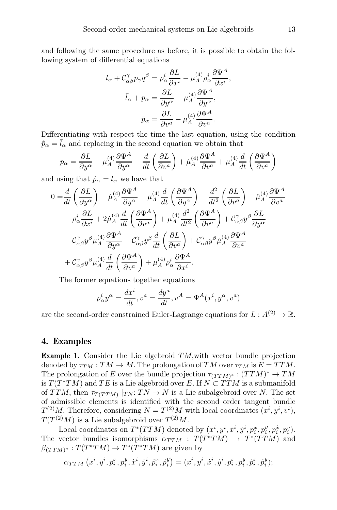and following the same procedure as before, it is possible to obtain the following system of differential equations

$$
l_{\alpha} + C^{\gamma}_{\alpha\beta} p_{\gamma} q^{\beta} = \rho_{\alpha}^{i} \frac{\partial L}{\partial x^{i}} - \mu_{A}^{(4)} \rho_{\alpha}^{i} \frac{\partial \Psi^{A}}{\partial x^{i}},
$$

$$
\bar{l}_{\alpha} + p_{\alpha} = \frac{\partial L}{\partial y^{\alpha}} - \mu_{A}^{(4)} \frac{\partial \Psi^{A}}{\partial y^{\alpha}},
$$

$$
\bar{p}_{\alpha} = \frac{\partial L}{\partial v^{a}} - \mu_{A}^{(4)} \frac{\partial \Psi^{A}}{\partial v^{\alpha}}.
$$

Differentiating with respect the time the last equation, using the condition  $\dot{\bar{p}}_{\alpha} = \bar{l}_{\alpha}$  and replacing in the second equation we obtain that

$$
p_{\alpha} = \frac{\partial L}{\partial y^{\alpha}} - \mu_A^{(4)} \frac{\partial \Psi^A}{\partial y^{\alpha}} - \frac{d}{dt} \left( \frac{\partial L}{\partial v^a} \right) + \mu_A^{(4)} \frac{\partial \Psi^A}{\partial v^a} + \mu_A^{(4)} \frac{d}{dt} \left( \frac{\partial \Psi^A}{\partial v^a} \right)
$$

and using that  $\dot{p}_{\alpha} = l_{\alpha}$  we have that

$$
0 = \frac{d}{dt} \left( \frac{\partial L}{\partial y^{\alpha}} \right) - \dot{\mu}_{A}^{(4)} \frac{\partial \Psi^{A}}{\partial y^{\alpha}} - \mu_{A}^{(4)} \frac{d}{dt} \left( \frac{\partial \Psi^{A}}{\partial y^{\alpha}} \right) - \frac{d^{2}}{dt^{2}} \left( \frac{\partial L}{\partial v^{a}} \right) + \ddot{\mu}_{A}^{(4)} \frac{\partial \Psi^{A}}{\partial v^{a}}
$$

$$
- \rho_{\alpha}^{i} \frac{\partial L}{\partial x^{i}} + 2 \dot{\mu}_{A}^{(4)} \frac{d}{dt} \left( \frac{\partial \Psi^{A}}{\partial v^{a}} \right) + \mu_{A}^{(4)} \frac{d^{2}}{dt^{2}} \left( \frac{\partial \Psi^{A}}{\partial v^{a}} \right) + C_{\alpha\beta}^{\gamma} y^{\beta} \frac{\partial L}{\partial y^{\alpha}}
$$

$$
- C_{\alpha\beta}^{\gamma} y^{\beta} \mu_{A}^{(4)} \frac{\partial \Psi^{A}}{\partial y^{\alpha}} - C_{\alpha\beta}^{\gamma} y^{\beta} \frac{d}{dt} \left( \frac{\partial L}{\partial v^{a}} \right) + C_{\alpha\beta}^{\gamma} y^{\beta} \dot{\mu}_{A}^{(4)} \frac{\partial \Psi^{A}}{\partial v^{a}}
$$

$$
+ C_{\alpha\beta}^{\gamma} y^{\beta} \mu_{A}^{(4)} \frac{d}{dt} \left( \frac{\partial \Psi^{A}}{\partial v^{\alpha}} \right) + \mu_{A}^{(4)} \rho_{\alpha}^{i} \frac{\partial \Psi^{A}}{\partial x^{i}}.
$$

The former equations together equations

$$
\rho^i_\alpha y^\alpha = \frac{dx^i}{dt}, v^a = \frac{dy^a}{dt}, v^A = \Psi^A(x^i, y^\alpha, v^a)
$$

are the second-order constrained Euler-Lagrange equations for  $L : A^{(2)} \to \mathbb{R}$ .

## 4. Examples

**Example 1.** Consider the Lie algebroid  $TM$ , with vector bundle projection denoted by  $\tau_{TM}: TM \to M$ . The prolongation of TM over  $\tau_{TM}$  is  $E = TTM$ . The prolongation of E over the bundle projection  $\tau_{(TTM)^*} : (TTM)^* \to TM$ is  $T(T^*TM)$  and  $TE$  is a Lie algebroid over E. If  $N\subset TTM$  is a submanifold of  $TTM$ , then  $\tau_{T(TTM)} |_{TN}$ :  $TN \to N$  is a Lie subalgebroid over N. The set of admissible elements is identified with the second order tangent bundle  $T^{(2)}M$ . Therefore, considering  $N = T^{(2)}M$  with local coordinates  $(x^i, y^i, v^i)$ ,  $T(T^{(2)}M)$  is a Lie subalgebroid over  $T^{(2)}M$ .

Local coordinates on  $T^*(TTM)$  denoted by  $(x^i, y^i, \dot{x}^i, \dot{y}^i, p_i^x, p_i^y, p_i^x, p_i^v)$ . The vector bundles isomorphisms  $\alpha_{TTM}$  :  $T(T^*TM) \rightarrow T^*(TTM)$  and  $\beta_{(TTM)^*}: T(T^*TM) \to T^*(T^*TM)$  are given by

$$
\alpha_{TTM}\left(x^{i},y^{i},p_{i}^{x},p_{i}^{y},\dot{x}^{i},\dot{y}^{i},\dot{p}_{i}^{x},p_{i}^{y}\right)=\left(x^{i},y^{i},\dot{x}^{i},\dot{y}^{i},p_{i}^{x},p_{i}^{y},\dot{p}_{i}^{x},p_{i}^{y}\right);
$$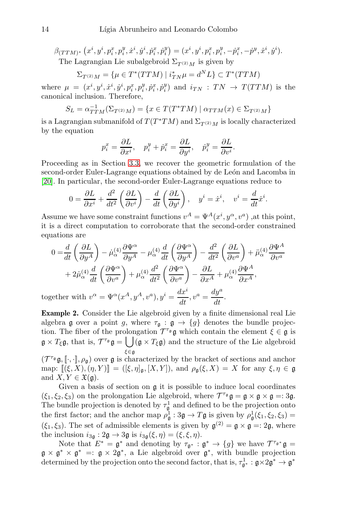$\beta_{(TTM)^*} (x^i, y^i, p_i^x, p_i^y, \dot{x}^i, \dot{y}^i, \dot{p}_i^x, \dot{p}_i^y) = (x^i, y^i, p_i^x, p_i^y, -\dot{p}_i^x, -\dot{p}^y, \dot{x}^i, \dot{y}^i).$ The Lagrangian Lie subalgebroid  $\Sigma_{T(2)M}$  is given by

$$
\Sigma_{T^{(2)}M} = \{ \mu \in T^*(TTM) \mid i_{TN}^* \mu = d^NL \} \subset T^*(TTM)
$$

where  $\mu = (x^i, y^i, \dot{x}^i, \dot{y}^i, p_i^x, p_i^y, \dot{p}_i^x, \dot{p}_i^y)$  and  $i_{TN} : TN \rightarrow T(TTM)$  is the canonical inclusion. Therefore,

$$
S_L = \alpha_{TTM}^{-1}(\Sigma_{T^{(2)}M}) = \{ x \in T(T^*TM) \mid \alpha_{TTM}(x) \in \Sigma_{T^{(2)}M} \}
$$

is a Lagrangian submanifold of  $T(T^*TM)$  and  $\Sigma_{T^{(2)}M}$  is locally characterized by the equation

$$
p_i^x = \frac{\partial L}{\partial x^i}, \quad p_i^y + \dot{p}_i^x = \frac{\partial L}{\partial y^i}, \quad \dot{p}_i^y = \frac{\partial L}{\partial v^i}.
$$

Proceeding as in Section [3.3,](#page-9-0) we recover the geometric formulation of the second-order Euler-Lagrange equations obtained by de León and Lacomba in [\[20\]](#page-18-15). In particular, the second-order Euler-Lagrange equations reduce to

$$
0 = \frac{\partial L}{\partial x^i} + \frac{d^2}{dt^2} \left( \frac{\partial L}{\partial v^i} \right) - \frac{d}{dt} \left( \frac{\partial L}{\partial y^i} \right), \quad y^i = \dot{x}^i, \quad v^i = \frac{d}{dt} \dot{x}^i.
$$

Assume we have some constraint functions  $v^A = \Psi^A(x^i, y^\alpha, v^a)$ , at this point, it is a direct computation to corroborate that the second-order constrained equations are

$$
0 = \frac{d}{dt} \left( \frac{\partial L}{\partial y^A} \right) - \dot{\mu}_{\alpha}^{(4)} \frac{\partial \Psi^{\alpha}}{\partial y^A} - \mu_{\alpha}^{(4)} \frac{d}{dt} \left( \frac{\partial \Psi^{\alpha}}{\partial y^A} \right) - \frac{d^2}{dt^2} \left( \frac{\partial L}{\partial v^a} \right) + \ddot{\mu}_{\alpha}^{(4)} \frac{\partial \Psi^A}{\partial v^a}
$$
  
+  $2 \dot{\mu}_{\alpha}^{(4)} \frac{d}{dt} \left( \frac{\partial \Psi^{\alpha}}{\partial v^a} \right) + \mu_{\alpha}^{(4)} \frac{d^2}{dt^2} \left( \frac{\partial \Psi^{\alpha}}{\partial v^a} \right) - \frac{\partial L}{\partial x^A} + \mu_{\alpha}^{(4)} \frac{\partial \Psi^A}{\partial x^A},$   
together with  $v^{\alpha} = \Psi^{\alpha}(x^A, y^A, v^a), y^i = \frac{dx^i}{dt}, v^a = \frac{dy^a}{dt}.$ 

Example 2. Consider the Lie algebroid given by a finite dimensional real Lie algebra  $\mathfrak g$  over a point g, where  $\tau_{\mathfrak g}: \mathfrak g \to \{g\}$  denotes the bundle projection. The fiber of the prolongation  $\mathcal{T}^{\tau_{\mathfrak{g}}}$  which contain the element  $\xi \in \mathfrak{g}$  is  $\mathfrak{g} \times T_{\xi} \mathfrak{g}$ , that is,  $\mathcal{T}^{\tau_{\mathfrak{g}}} \mathfrak{g} = \bigcup_{\mathfrak{g} \in T_{\xi} \mathfrak{g}} \mathfrak{g}$  and the structure of the Lie algebroid ξ∈g

 $(\mathcal{T}^{\tau_{\mathfrak{g}}},[\![\cdot,\cdot]\!],\rho_{\mathfrak{g}})$  over  $\mathfrak g$  is characterized by the bracket of sections and anchor map:  $[(\xi, X), (\eta, Y)] = ([\xi, \eta]_{\mathfrak{q}}, [X, Y])$ , and  $\rho_{\mathfrak{q}}(\xi, X) = X$  for any  $\xi, \eta \in \mathfrak{g}$ and  $X, Y \in \mathfrak{X}(\mathfrak{g})$ .

Given a basis of section on g it is possible to induce local coordinates  $(\xi_1, \xi_2, \xi_3)$  on the prolongation Lie algebroid, where  $\mathcal{T}^{\tau_{\mathfrak{g}}} \mathfrak{g} = \mathfrak{g} \times \mathfrak{g} \times \mathfrak{g} =: 3\mathfrak{g}$ . The bundle projection is denoted by  $\tau_{\mathfrak{g}}^1$  and defined to be the projection onto the first factor; and the anchor map  $\rho_{\mathfrak{g}}^1: 3\mathfrak{g} \to T\mathfrak{g}$  is given by  $\rho_{\mathfrak{g}}^1(\xi_1, \xi_2, \xi_3) =$  $(\xi_1, \xi_3)$ . The set of admissible elements is given by  $\mathfrak{g}^{(2)} = \mathfrak{g} \times \mathfrak{g} = 2\mathfrak{g}$ , where the inclusion  $i_{3\mathfrak{g}}: 2\mathfrak{g} \to 3\mathfrak{g}$  is  $i_{3\mathfrak{g}}(\xi, \eta) = (\xi, \xi, \eta)$ .

Note that  $E^* = \mathfrak{g}^*$  and denoting by  $\tau_{\mathfrak{g}^*} : \mathfrak{g}^* \to \{g\}$  we have  $\mathcal{T}^{\tau_{\mathfrak{g}^*}} \mathfrak{g} =$  $\mathfrak{g} \times \mathfrak{g}^* \times \mathfrak{g}^* =: \mathfrak{g} \times 2\mathfrak{g}^*,$  a Lie algebroid over  $\mathfrak{g}^*,$  with bundle projection determined by the projection onto the second factor, that is,  $\tau_{\mathfrak{g}^*}^1 : \mathfrak{g} \times 2\mathfrak{g}^* \to \mathfrak{g}^*$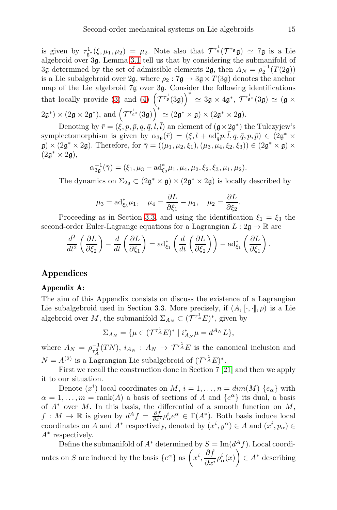is given by  $\tau_{\mathfrak{g}^*}^1(\xi,\mu_1,\mu_2) = \mu_2$ . Note also that  $\mathcal{T}^{\tau_{\mathfrak{g}}}^1(\mathcal{T}^{\tau_{\mathfrak{g}}}) \simeq 7\mathfrak{g}$  is a Lie algebroid over 3g. Lemma [3.1](#page-7-0) tell us that by considering the submanifold of 3g determined by the set of admissible elements 2g, then  $A_N = \rho_2^{-1}(T(2g))$ is a Lie subalgebroid over  $2\mathfrak{g}$ , where  $\rho_2$ :  $7\mathfrak{g} \rightarrow 3\mathfrak{g} \times T(3\mathfrak{g})$  denotes the anchor map of the Lie algebroid 7g over 3g. Consider the following identifications that locally provide [\(3\)](#page-6-0) and [\(4\)](#page-6-1)  $(\mathcal{T}^{\tau_{\mathfrak{g}}^{1}}(3\mathfrak{g}))^{*} \simeq 3\mathfrak{g} \times 4\mathfrak{g}^{*}, \ \mathcal{T}^{\tau_{\mathfrak{g}}^{1}}(3\mathfrak{g}) \simeq (\mathfrak{g} \times$  $(2\mathfrak{g}^*)\times (2\mathfrak{g}\times 2\mathfrak{g}^*), \text{ and } \left(\mathcal{T}^{\tau^1_{\mathfrak{g}^*}}(3\mathfrak{g})\right)^*\simeq (2\mathfrak{g}^*\times \mathfrak{g})\times (2\mathfrak{g}^*\times 2\mathfrak{g}).$ 

Denoting by  $\bar{r} = (\xi, p, \bar{p}, q, \bar{q}, l, \bar{l})$  an element of  $(\mathfrak{g} \times 2\mathfrak{g}^*)$  the Tulczyjew's symplectomorphism is given by  $\alpha_{3\mathfrak{g}}(\bar{r}) = (\xi, l + \mathrm{ad}_q^* p, \bar{l}, q, \bar{q}, p, \bar{p}) \in (2\mathfrak{g}^* \times$  $\mathfrak{g}$   $\times$  (2 $\mathfrak{g}^* \times 2\mathfrak{g}$ ). Therefore, for  $\bar{\gamma} = ((\mu_1, \mu_2, \xi_1), (\mu_3, \mu_4, \xi_2, \xi_3)) \in (2\mathfrak{g}^* \times \mathfrak{g}) \times$  $(2\mathfrak{g}^* \times 2\mathfrak{g}),$ 

 $\alpha_{3\mathfrak{g}}^{-1}(\bar{\gamma}) = (\xi_1, \mu_3 - \mathrm{ad}^*_{\xi_3} \mu_1, \mu_4, \mu_2, \xi_2, \xi_3, \mu_1, \mu_2).$ 

The dynamics on  $\Sigma_{2\mathfrak{g}} \subset (2\mathfrak{g}^* \times \mathfrak{g}) \times (2\mathfrak{g}^* \times 2\mathfrak{g})$  is locally described by

$$
\mu_3 = \mathrm{ad}^*_{\xi_3} \mu_1, \quad \mu_4 = \frac{\partial L}{\partial \xi_1} - \mu_1, \quad \mu_2 = \frac{\partial L}{\partial \xi_2}.
$$

Proceeding as in Section [3.3,](#page-9-0) and using the identification  $\xi_1 = \xi_3$  the second-order Euler-Lagrange equations for a Lagrangian  $L: 2\mathfrak{g} \to \mathbb{R}$  are

$$
\frac{d^2}{dt^2} \left( \frac{\partial L}{\partial \xi_2} \right) - \frac{d}{dt} \left( \frac{\partial L}{\partial \xi_1} \right) = \mathrm{ad}^*_{\xi_1} \left( \frac{d}{dt} \left( \frac{\partial L}{\partial \xi_2} \right) \right) - \mathrm{ad}^*_{\xi_1} \left( \frac{\partial L}{\partial \xi_1} \right).
$$

# Appendices

#### Appendix A:

The aim of this Appendix consists on discuss the existence of a Lagrangian Lie subalgebroid used in Section 3.3. More precisely, if  $(A, \lbrack \cdot, \cdot \rbrack, \rho)$  is a Lie algebroid over M, the submanifold  $\Sigma_{A_N} \subset (\mathcal{T}^{\tau_A^1} E)^*$ , given by

$$
\Sigma_{A_N} = \{ \mu \in (\mathcal{T}^{\tau_A^1} E)^* \mid i_{A_N}^* \mu = d^{A_N} L \},
$$

where  $A_N = \rho_{\tau_A^2}^{-1}(TN)$ ,  $i_{A_N} : A_N \to \mathcal{T}^{\tau_A^1}E$  is the canonical inclusion and  $N = A^{(2)}$  is a Lagrangian Lie subalgebroid of  $({\mathcal T}^{\tau_A^1}E)^*$ .

First we recall the construction done in Section 7 [\[21\]](#page-18-11) and then we apply it to our situation.

Denote  $(x^i)$  local coordinates on M,  $i = 1, ..., n = dim(M) \{e_{\alpha}\}\$  with  $\alpha = 1, \ldots, m = \text{rank}(A)$  a basis of sections of A and  $\{e^{\alpha}\}\$ its dual, a basis of  $A^*$  over M. In this basis, the differential of a smooth function on M,  $f: M \to \mathbb{R}$  is given by  $d^A f = \frac{\partial f}{\partial x^i} \rho^i_\alpha e^\alpha \in \Gamma(A^*)$ . Both basis induce local coordinates on A and  $A^*$  respectively, denoted by  $(x^i, y^{\alpha}) \in A$  and  $(x^i, p_{\alpha}) \in A$ A<sup>∗</sup> respectively.

Define the submanifold of  $A^*$  determined by  $S = \text{Im}(d^A f)$ . Local coordinates on S are induced by the basis  ${e^{\alpha}}$  as  $(x^{i}, \frac{\partial f}{\partial x^{j}})$  $\frac{\partial f}{\partial x^i} \rho^i_\alpha(x)$  $\setminus$  $\in A^*$  describing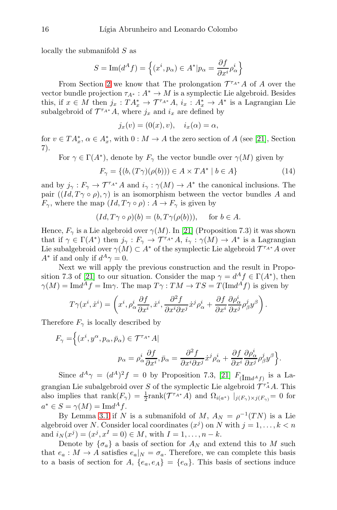locally the submanifold S as

$$
S = \operatorname{Im}(d^A f) = \left\{ (x^i, p_\alpha) \in A^* | p_\alpha = \frac{\partial f}{\partial x^i} \rho_\alpha^i \right\}
$$

From Section [2](#page-2-0) we know that The prolongation  $\mathcal{T}^{\tau_A*}A$  of A over the vector bundle projection  $\tau_{A^*}: A^* \to M$  is a symplectic Lie algebroid. Besides this, if  $x \in M$  then  $j_x: TA_x^* \to \mathcal{T}^{\tau_{A^*}}A$ ,  $i_x: A_x^* \to A^*$  is a Lagrangian Lie subalgebroid of  $\mathcal{T}^{\tau_{A^*}}A$ , where  $j_x$  and  $i_x$  are defined by

$$
j_x(v) = (0(x), v), \quad i_x(\alpha) = \alpha,
$$

for  $v \in TA_x^*$ ,  $\alpha \in A_x^*$ , with  $0: M \to A$  the zero section of A (see [\[21\]](#page-18-11), Section 7).

For  $\gamma \in \Gamma(A^*)$ , denote by  $F_{\gamma}$  the vector bundle over  $\gamma(M)$  given by

$$
F_{\gamma} = \{ (b, (T\gamma)(\rho(b))) \in A \times TA^* \mid b \in A \}
$$
\n
$$
(14)
$$

and by  $j_{\gamma}: F_{\gamma} \to \mathcal{T}^{\tau_{A^*}}A$  and  $i_{\gamma}: \gamma(M) \to A^*$  the canonical inclusions. The pair  $((Id, T\gamma \circ \rho), \gamma)$  is an isomorphism between the vector bundles A and  $F_{\gamma}$ , where the map  $(Id, T\gamma \circ \rho) : A \to F_{\gamma}$  is given by

$$
(Id, T\gamma \circ \rho)(b) = (b, T\gamma(\rho(b))), \text{ for } b \in A.
$$

Hence,  $F_{\gamma}$  is a Lie algebroid over  $\gamma(M)$ . In [\[21\]](#page-18-11) (Proposition 7.3) it was shown that if  $\gamma \in \Gamma(A^*)$  then  $j_{\gamma}: F_{\gamma} \to \mathcal{T}^{\tau_{A^*}}A$ ,  $i_{\gamma}: \gamma(M) \to A^*$  is a Lagrangian Lie subalgebroid over  $\gamma(M) \subset A^*$  of the symplectic Lie algebroid  $\mathcal{T}^{\tau_{A^*}}A$  over  $A^*$  if and only if  $d^A \gamma = 0$ .

Next we will apply the previous construction and the result in Propo-sition 7.3 of [\[21\]](#page-18-11) to our situation. Consider the map  $\gamma = d^A f \in \Gamma(A^*)$ , then  $\gamma(M) = \text{Im}d^A f = \text{Im}\gamma$ . The map  $T\gamma : TM \to TS = T(\text{Im}d^A f)$  is given by

$$
T\gamma(x^i, \dot{x}^i) = \left(x^i, \rho^i_\alpha \frac{\partial f}{\partial x^i}, \dot{x}^i, \frac{\partial^2 f}{\partial x^i \partial x^j} \dot{x}^j \rho^i_\alpha + \frac{\partial f}{\partial x^i} \frac{\partial \rho^i_\alpha}{\partial x^j} \rho^j_\beta y^\beta\right).
$$

Therefore  $F_{\gamma}$  is locally described by

$$
F_{\gamma} = \Big\{ (x^i, y^{\alpha}, p_{\alpha}, \bar{p}_{\alpha}) \in \mathcal{T}^{\tau_{A^*}} A \vert p_{\alpha} = \rho_{\alpha}^i \frac{\partial f}{\partial x^i}, \bar{p}_{\alpha} = \frac{\partial^2 f}{\partial x^i \partial x^j} \dot{x}^j \rho_{\alpha}^i + \frac{\partial f}{\partial x^i} \frac{\partial \rho_{\alpha}^i}{\partial x^j} \rho_{\beta}^j y^{\beta} \Big\}.
$$

Since  $d^A \gamma = (d^A)^2 f = 0$  by Proposition 7.3, [\[21\]](#page-18-11)  $F_{(\text{Im} d^A f)}$  is a Lagrangian Lie subalgebroid over S of the symplectic Lie algebroid  $\tilde{\mathcal{T}}^{\tau_A^*}A$ . This also implies that  $rank(F_\gamma) = \frac{1}{2}rank(\mathcal{T}^{\tau_{A^*}}A)$  and  $\Omega_{i(a^*)}|_{j(F_\gamma) \times j(F_\gamma)} = 0$  for  $a^* \in S = \gamma(M) = \text{Im} d^A f.$ 

By Lemma [3.1](#page-7-0) if N is a submanifold of M,  $A_N = \rho^{-1}(TN)$  is a Lie algebroid over N. Consider local coordinates  $(x^{j})$  on N with  $j = 1, ..., k < n$ and  $i_N(x^j) = (x^j, x^I = 0) \in M$ , with  $I = 1, ..., n - k$ .

Denote by  $\{\sigma_a\}$  a basis of section for  $A_N$  and extend this to M such that  $e_a: M \to A$  satisfies  $e_a|_N = \sigma_a$ . Therefore, we can complete this basis to a basis of section for A,  $\{e_a, e_A\} = \{e_\alpha\}$ . This basis of sections induce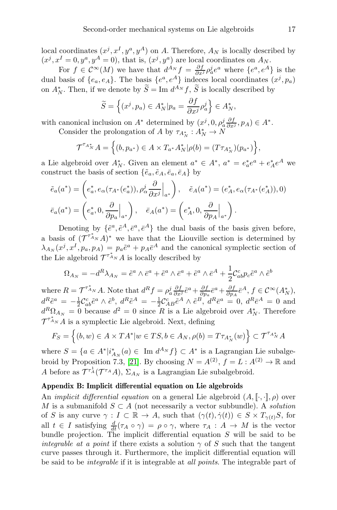local coordinates  $(x^j, x^I, y^a, y^A)$  on A. Therefore,  $A_N$  is locally described by  $(x^j, x^I = 0, y^a, y^A = 0)$ , that is,  $(x^j, y^a)$  are local coordinates on  $A_N$ .

For  $f \in C^{\infty}(M)$  we have that  $d^{A_N} f = \frac{\partial f}{\partial x^j} \rho_a^j e^a$  where  $\{e^a, e^A\}$  is the dual basis of  $\{e_a, e_A\}$ . The basis  $\{e^a, e^A\}$  indeces local coordinates  $(x^j, p_a)$ on  $A_N^*$ . Then, if we denote by  $S = \text{Im } d^{A_N} f$ , S is locally described by

$$
\widetilde{S} = \left\{ (x^j, p_a) \in A_N^* | p_a = \frac{\partial f}{\partial x^j} \rho_a^j \right\} \in A_N^*,
$$

with canonical inclusion on  $A^*$  determined by  $(x^j, 0, \rho_a^j \frac{\partial f}{\partial x^j}, p_A) \in A^*$ .

Consider the prolongation of A by  $\tau_{A_N^*}: A_N^* \to N$ 

$$
\mathcal{T}^{\tau_{A_N^*}} A = \left\{ (b, p_{a^*}) \in A \times T_{a^*} A_N^* | \rho(b) = (T \tau_{A_N^*}) (p_{a^*}) \right\},\
$$

a Lie algebroid over  $A_N^*$ . Given an element  $a^* \in A^*$ ,  $a^* = e_a^* e^a + e_A^* e^A$  we construct the basis of section  $\{\tilde{e}_a, \tilde{e}_A, \bar{e}_a, \bar{e}_A\}$  by

$$
\tilde{e}_a(a^*) = \left(e_a^*, e_\alpha(\tau_{A^*}(e_a^*)), \rho_\alpha^j \frac{\partial}{\partial x^j}\Big|_{a^*}\right), \quad \tilde{e}_A(a^*) = (e_A^*, e_\alpha(\tau_{A^*}(e_A^*)), 0)
$$

$$
\bar{e}_a(a^*) = \left(e_a^*, 0, \frac{\partial}{\partial p_a}\Big|_{a^*}\right), \quad \bar{e}_A(a^*) = \left(e_A^*, 0, \frac{\partial}{\partial p_A}\Big|_{a^*}\right).
$$

Denoting by  $\{\tilde{e}^a, \tilde{e}^A, \bar{e}^a, \bar{e}^A\}$  the dual basis of the basis given before, a basis of  $(\mathcal{T}^{\tau_{A_N}^*}A)^*$  we have that the Liouville section is determined by  $\lambda_{A_N}(x^j, x^I, p_a, p_A) = p_a \tilde{e}^a + p_A \bar{e}^A$  and the canonical symplectic section of the Lie algebroid  $\mathcal{T}^{\tau_{A_N}^*A}$  is locally described by

$$
\Omega_{A_N} = -d^R \lambda_{A_N} = \tilde{e}^a \wedge \bar{e}^a + \tilde{e}^a \wedge \bar{e}^a + \tilde{e}^a \wedge \bar{e}^A + \frac{1}{2} \mathcal{C}_{ab}^c p_c \tilde{e}^a \wedge \tilde{e}^b
$$

where  $R = \mathcal{T}^{\tau_{A_N}^*} A$ . Note that  $d^R f = \rho_a^j \frac{\partial f}{\partial x^j} \tilde{e}^a + \frac{\partial f}{\partial p_a} \bar{e}^a + \frac{\partial f}{\partial p_A} \bar{e}^A, f \in \mathcal{C}^{\infty}(A_N^*)$ ,  $d^R \tilde{e}^a = -\frac{1}{2} \mathcal{C}_{ab}^c \tilde{e}^a \wedge \tilde{e}^b$ ,  $d^R \tilde{e}^A = -\frac{1}{2} \mathcal{C}_{AB}^c \tilde{e}^A \wedge \tilde{e}^B$ ,  $d^R \bar{e}^a = 0$ ,  $d^R \bar{e}^A = 0$  and  $d^R \Omega_{A_N} = 0$  because  $d^2 = 0$  since R is a Lie algebroid over  $A_N^*$ . Therefore  $\mathcal{T}^{\tau_{A_N}^*}A$  is a symplectic Lie algebroid. Next, defining

$$
F_S = \left\{ (b, w) \in A \times TA^* | w \in TS, b \in A_N, \rho(b) = T\tau_{A_N^*}(w) \right\} \subset \mathcal{T}^{\tau_{A_N^*}}A
$$

where  $S = \{a \in A^* | i_{A_N}^*(a) \in \text{Im } d^{A_N} f\} \subset A^*$  is a Lagrangian Lie subalge-broid by Proposition 7.3, [\[21\]](#page-18-11). By choosing  $N = A^{(2)}$ ,  $f = L : A^{(2)} \to \mathbb{R}$  and A before as  $\mathcal{T}^{\tau_A^1}(\mathcal{T}^{\tau_A}A), \Sigma_{A_N}$  is a Lagrangian Lie subalgebroid.

#### Appendix B: Implicit differential equation on Lie algebroids

An *implicit differential equation* on a general Lie algebroid  $(A, [\cdot, \cdot], \rho)$  over M is a submanifold  $S \subset A$  (not necessarily a vector subbundle). A *solution* of S is any curve  $\gamma : I \subset \mathbb{R} \to A$ , such that  $(\gamma(t), \dot{\gamma}(t)) \in S \times T_{\gamma(t)}S$ , for all  $t \in I$  satisfying  $\frac{d}{dt}(\tau_A \circ \gamma) = \rho \circ \gamma$ , where  $\tau_A : A \to M$  is the vector bundle projection. The implicit differential equation  $S$  will be said to be integrable at a point if there exists a solution  $\gamma$  of S such that the tangent curve passes through it. Furthermore, the implicit differential equation will be said to be *integrable* if it is integrable at *all points*. The integrable part of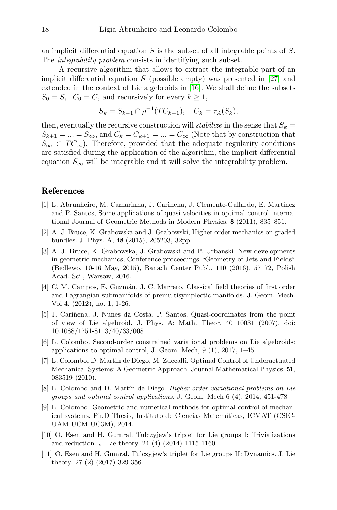an implicit differential equation  $S$  is the subset of all integrable points of  $S$ . The *integrability problem* consists in identifying such subset.

A recursive algorithm that allows to extract the integrable part of an implicit differential equation  $S$  (possible empty) was presented in [\[27\]](#page-18-20) and extended in the context of Lie algebroids in [\[16\]](#page-18-1). We shall define the subsets  $S_0 = S$ ,  $C_0 = C$ , and recursively for every  $k \geq 1$ ,

$$
S_k = S_{k-1} \cap \rho^{-1}(TC_{k-1}), \quad C_k = \tau_A(S_k),
$$

then, eventually the recursive construction will stabilize in the sense that  $S_k =$  $S_{k+1} = ... = S_{\infty}$ , and  $C_k = C_{k+1} = ... = C_{\infty}$  (Note that by construction that  $S_{\infty} \subset TC_{\infty}$ ). Therefore, provided that the adequate regularity conditions are satisfied during the application of the algorithm, the implicit differential equation  $S_{\infty}$  will be integrable and it will solve the integrability problem.

# <span id="page-17-1"></span>References

- [1] L. Abrunheiro, M. Camarinha, J. Carinena, J. Clemente-Gallardo, E. Martínez and P. Santos, Some applications of quasi-velocities in optimal control. nternational Journal of Geometric Methods in Modern Physics, 8 (2011), 835–851.
- <span id="page-17-6"></span>[2] A. J. Bruce, K. Grabowska and J. Grabowski, Higher order mechanics on graded bundles. J. Phys. A, 48 (2015), 205203, 32pp.
- <span id="page-17-7"></span>[3] A. J. Bruce, K. Grabowska, J. Grabowski and P. Urbanski. New developments in geometric mechanics, Conference proceedings "Geometry of Jets and Fields" (Bedlewo, 10-16 May, 2015), Banach Center Publ., 110 (2016), 57–72, Polish Acad. Sci., Warsaw, 2016.
- <span id="page-17-8"></span>[4] C. M. Campos, E. Guzmán, J. C. Marrero. Classical field theories of first order and Lagrangian submanifolds of premultisymplectic manifolds. J. Geom. Mech. Vol 4. (2012), no. 1, 1-26.
- <span id="page-17-2"></span>[5] J. Cariñena, J. Nunes da Costa, P. Santos. Quasi-coordinates from the point of view of Lie algebroid. J. Phys. A: Math. Theor. 40 10031 (2007), doi: 10.1088/1751-8113/40/33/008
- <span id="page-17-3"></span>[6] L. Colombo. Second-order constrained variational problems on Lie algebroids: applications to optimal control, J. Geom. Mech, 9 (1), 2017, 1–45.
- <span id="page-17-4"></span>[7] L. Colombo, D. Martin de Diego, M. Zuccalli. Optimal Control of Underactuated Mechanical Systems: A Geometric Approach. Journal Mathematical Physics. 51, 083519 (2010).
- <span id="page-17-5"></span>[8] L. Colombo and D. Martín de Diego. Higher-order variational problems on Lie groups and optimal control applications. J. Geom. Mech 6 (4), 2014, 451-478
- <span id="page-17-0"></span>[9] L. Colombo. Geometric and numerical methods for optimal control of mechanical systems. Ph.D Thesis, Instituto de Ciencias Matemáticas, ICMAT (CSIC-UAM-UCM-UC3M), 2014.
- <span id="page-17-9"></span>[10] O. Esen and H. Gumral. Tulczyjew's triplet for Lie groups I: Trivializations and reduction. J. Lie theory. 24 (4) (2014) 1115-1160.
- <span id="page-17-10"></span>[11] O. Esen and H. Gumral. Tulczyjew's triplet for Lie groups II: Dynamics. J. Lie theory. 27 (2) (2017) 329-356.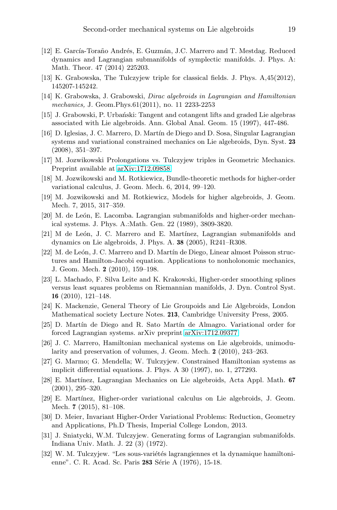- <span id="page-18-14"></span>[12] E. García-Toraño Andrés, E. Guzmán, J.C. Marrero and T. Mestdag. Reduced dynamics and Lagrangian submanifolds of symplectic manifolds. J. Phys. A: Math. Theor. 47 (2014) 225203.
- <span id="page-18-13"></span><span id="page-18-12"></span>[13] K. Grabowska, The Tulczyjew triple for classical fields. J. Phys. A,45(2012), 145207-145242.
- [14] K. Grabowska, J. Grabowski, Dirac algebroids in Lagrangian and Hamiltonian mechanics, J. Geom.Phys.61(2011), no. 11 2233-2253
- <span id="page-18-0"></span>[15] J. Grabowski, P. Urbański: Tangent and cotangent lifts and graded Lie algebras associated with Lie algebroids. Ann. Global Anal. Geom. 15 (1997), 447-486.
- <span id="page-18-1"></span>[16] D. Iglesias, J. C. Marrero, D. Mart´ın de Diego and D. Sosa, Singular Lagrangian systems and variational constrained mechanics on Lie algebroids, Dyn. Syst. 23 (2008), 351–397.
- <span id="page-18-10"></span>[17] M. Jozwikowski Prolongations vs. Tulczyjew triples in Geometric Mechanics. Preprint available at [arXiv:1712.09858](http://arxiv.org/abs/1712.09858)
- <span id="page-18-6"></span>[18] M. Jozwikowski and M. Rotkiewicz, Bundle-theoretic methods for higher-order variational calculus, J. Geom. Mech. 6, 2014, 99–120.
- <span id="page-18-7"></span>[19] M. Jozwikowski and M. Rotkiewicz, Models for higher algebroids, J. Geom. Mech. 7, 2015, 317–359.
- <span id="page-18-15"></span>[20] M. de León, E. Lacomba. Lagrangian submanifolds and higher-order mechanical systems. J. Phys. A.:Math. Gen. 22 (1989), 3809-3820.
- <span id="page-18-11"></span>[21] M de León, J. C. Marrero and E. Martínez, Lagrangian submanifolds and dynamics on Lie algebroids, J. Phys. A. 38 (2005), R241–R308.
- <span id="page-18-2"></span>[22] M. de León, J. C. Marrero and D. Martín de Diego, Linear almost Poisson structures and Hamilton-Jacobi equation. Applications to nonholonomic mechanics, J. Geom. Mech. 2 (2010), 159–198.
- <span id="page-18-4"></span>[23] L. Machado, F. Silva Leite and K. Krakowski, Higher-order smoothing splines versus least squares problems on Riemannian manifolds, J. Dyn. Control Syst. 16 (2010), 121–148.
- <span id="page-18-17"></span>[24] K. Mackenzie, General Theory of Lie Groupoids and Lie Algebroids, London Mathematical society Lecture Notes. 213, Cambridge University Press, 2005.
- <span id="page-18-16"></span>[25] D. Martín de Diego and R. Sato Martín de Almagro. Variational order for forced Lagrangian systems. arXiv preprint [arXiv:1712.09377](http://arxiv.org/abs/1712.09377)
- <span id="page-18-3"></span>[26] J. C. Marrero, Hamiltonian mechanical systems on Lie algebroids, unimodularity and preservation of volumes, J. Geom. Mech. 2 (2010), 243–263.
- <span id="page-18-20"></span>[27] G. Marmo; G. Mendella; W. Tulczyjew. Constrained Hamiltonian systems as implicit differential equations. J. Phys. A 30 (1997), no. 1, 277293.
- <span id="page-18-9"></span>[28] E. Martínez, Lagrangian Mechanics on Lie algebroids, Acta Appl. Math. 67 (2001), 295–320.
- <span id="page-18-8"></span>[29] E. Martínez, Higher-order variational calculus on Lie algebroids, J. Geom. Mech. 7 (2015), 81–108.
- <span id="page-18-5"></span>[30] D. Meier, Invariant Higher-Order Variational Problems: Reduction, Geometry and Applications, Ph.D Thesis, Imperial College London, 2013.
- <span id="page-18-19"></span>[31] J. Sniatycki, W.M. Tulczyjew. Generating forms of Lagrangian submanifolds. Indiana Univ. Math. J. 22 (3) (1972).
- <span id="page-18-18"></span>[32] W. M. Tulczyjew. "Les sous-variétés lagrangiennes et la dynamique hamiltonienne". C. R. Acad. Sc. Paris 283 Série A (1976), 15-18.